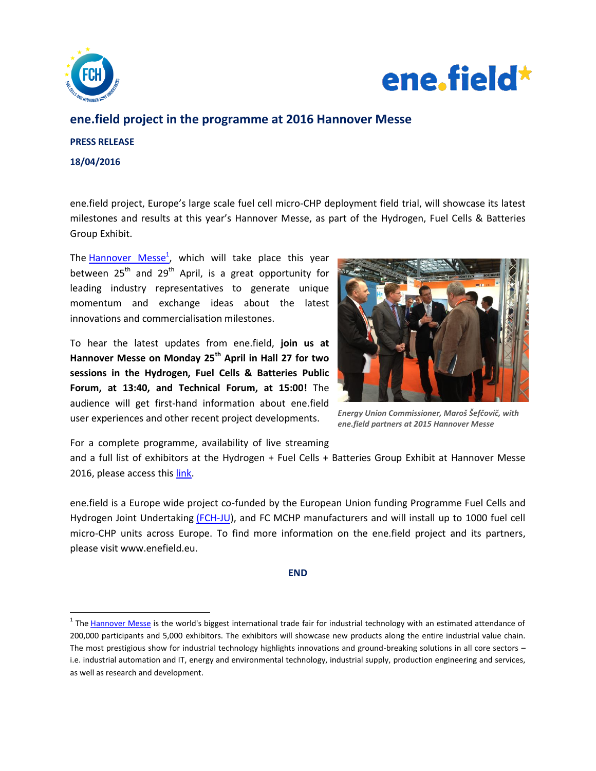



# **ene.field project in the programme at 2016 Hannover Messe**

# **PRESS RELEASE**

**18/04/2016**

 $\overline{\phantom{a}}$ 

ene.field project, Europe's large scale fuel cell micro-CHP deployment field trial, will showcase its latest milestones and results at this year's Hannover Messe, as part of the Hydrogen, Fuel Cells & Batteries Group Exhibit.

The [Hannover Messe](http://www.hannovermesse.de/home)<sup>1</sup>, which will take place this year between  $25<sup>th</sup>$  and  $29<sup>th</sup>$  April, is a great opportunity for leading industry representatives to generate unique momentum and exchange ideas about the latest innovations and commercialisation milestones.

To hear the latest updates from ene.field, **join us at Hannover Messe on Monday 25th April in Hall 27 for two sessions in the Hydrogen, Fuel Cells & Batteries Public Forum, at 13:40, and Technical Forum, at 15:00!** The audience will get first-hand information about ene.field user experiences and other recent project developments.



*Energy Union Commissioner, Maroš Šefčovič, with ene.field partners at 2015 Hannover Messe*

For a complete programme, availability of live streaming

and a full list of exhibitors at the Hydrogen + Fuel Cells + Batteries Group Exhibit at Hannover Messe 2016, please access thi[s link.](http://www.h2fc-fair.com/hm16/forum/index.html)

ene.field is a Europe wide project co-funded by the European Union funding Programme Fuel Cells and Hydrogen Joint Undertaking [\(FCH-JU\)](http://www.fch-ju.eu/), and FC MCHP manufacturers and will install up to 1000 fuel cell micro-CHP units across Europe. To find more information on the ene.field project and its partners, please visit www.enefield.eu.

## **END**

<sup>&</sup>lt;sup>1</sup> The [Hannover Messe](http://www.hannovermesse.de/home) is the world's biggest international trade fair for industrial technology with an estimated attendance of 200,000 participants and 5,000 exhibitors. The exhibitors will showcase new products along the entire industrial value chain. The most prestigious show for industrial technology highlights innovations and ground-breaking solutions in all core sectors – i.e. industrial automation and IT, energy and environmental technology, industrial supply, production engineering and services, as well as research and development.